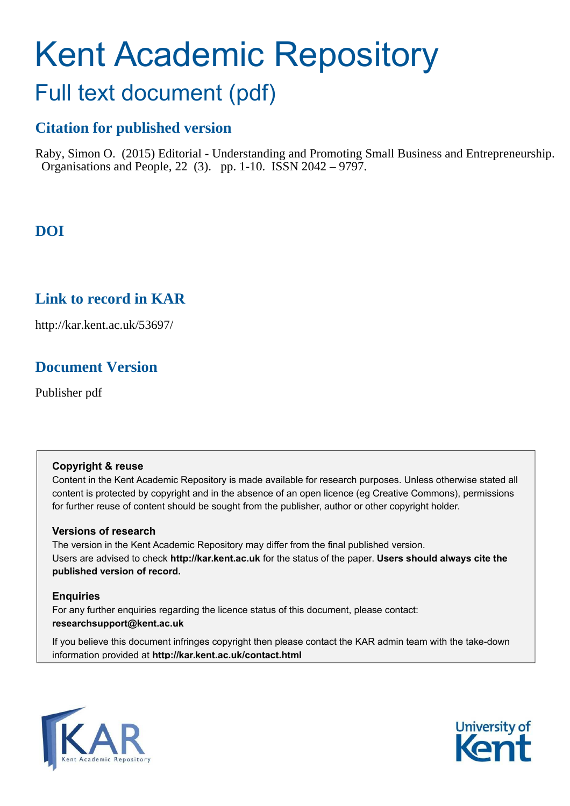# Kent Academic Repository

## Full text document (pdf)

## **Citation for published version**

Raby, Simon O. (2015) Editorial - Understanding and Promoting Small Business and Entrepreneurship. Organisations and People, 22 (3). pp. 1-10. ISSN 2042 – 9797.

## **DOI**

### **Link to record in KAR**

http://kar.kent.ac.uk/53697/

## **Document Version**

Publisher pdf

#### **Copyright & reuse**

Content in the Kent Academic Repository is made available for research purposes. Unless otherwise stated all content is protected by copyright and in the absence of an open licence (eg Creative Commons), permissions for further reuse of content should be sought from the publisher, author or other copyright holder.

#### **Versions of research**

The version in the Kent Academic Repository may differ from the final published version. Users are advised to check **http://kar.kent.ac.uk** for the status of the paper. **Users should always cite the published version of record.**

#### **Enquiries**

For any further enquiries regarding the licence status of this document, please contact: **researchsupport@kent.ac.uk**

If you believe this document infringes copyright then please contact the KAR admin team with the take-down information provided at **http://kar.kent.ac.uk/contact.html**



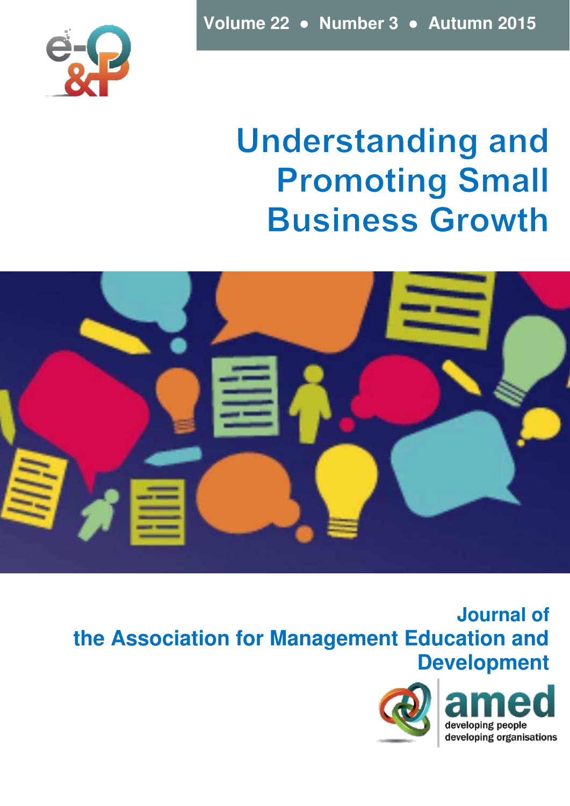

# **Understanding and Promoting Small Business Growth**



**Journal of the Association for Management Education and Development** 

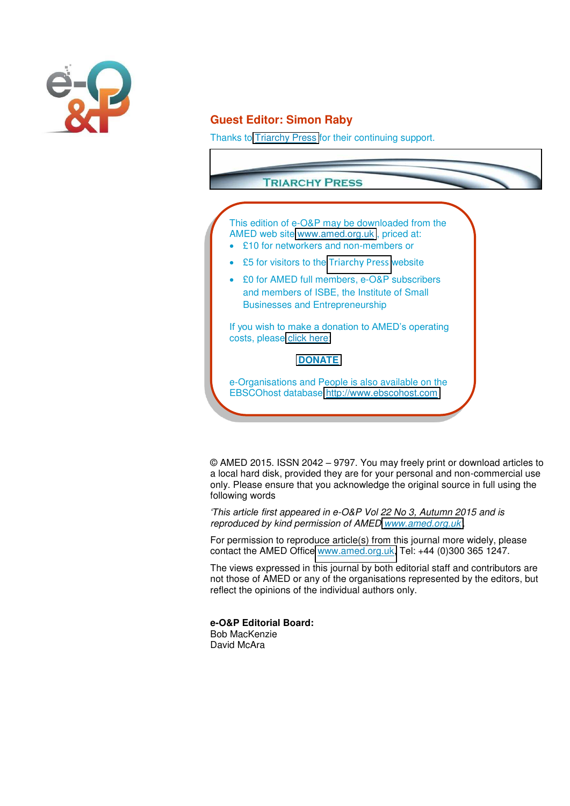

#### **Guest Editor: Simon Raby**

Thanks to [Triarchy Press](http://www.triarchypress.net/) for their continuing support.



© AMED 2015. ISSN 2042 – 9797. You may freely print or download articles to a local hard disk, provided they are for your personal and non-commercial use only. Please ensure that you acknowledge the original source in full using the following words

*'This article first appeared in e-O&P Vol 22 No 3, Autumn 2015 and is reproduced by kind permission of AMED [www.amed.org.uk](http://www.amed.org.uk/)'.*

For permission to reproduce article(s) from this journal more widely, please contact the AMED Office [www.amed.org.uk,](http://www.amed.org.uk/) Tel: +44 (0)300 365 1247.

The views expressed in this journal by both editorial staff and contributors are not those of AMED or any of the organisations represented by the editors, but reflect the opinions of the individual authors only.

**e-O&P Editorial Board:**  Bob MacKenzie

David McAra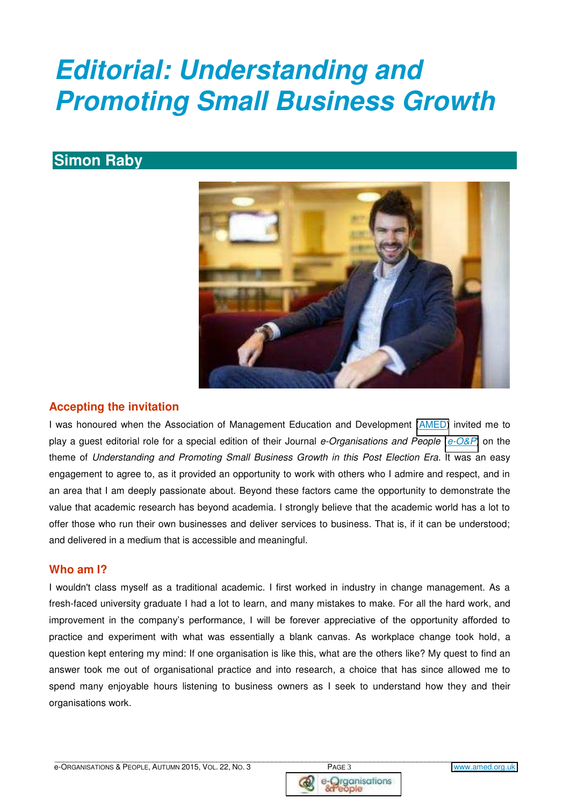# *Editorial: Understanding and Promoting Small Business Growth*

### **Simon Raby**



#### **Accepting the invitation**

I was honoured when the Association of Management Education and Development [\(AMED\)](http://www.amed.org.uk/) invited me to play a guest editorial role for a special edition of their Journal *e-Organisations and People* (*[e-O&P](http://www.amed.org.uk/page/amed-needs-you)*) on the theme of *Understanding and Promoting Small Business Growth in this Post Election Era*. It was an easy engagement to agree to, as it provided an opportunity to work with others who I admire and respect, and in an area that I am deeply passionate about. Beyond these factors came the opportunity to demonstrate the value that academic research has beyond academia. I strongly believe that the academic world has a lot to offer those who run their own businesses and deliver services to business. That is, if it can be understood; and delivered in a medium that is accessible and meaningful.

#### **Who am I?**

I wouldn't class myself as a traditional academic. I first worked in industry in change management. As a fresh-faced university graduate I had a lot to learn, and many mistakes to make. For all the hard work, and improvement in the company's performance, I will be forever appreciative of the opportunity afforded to practice and experiment with what was essentially a blank canvas. As workplace change took hold, a question kept entering my mind: If one organisation is like this, what are the others like? My quest to find an answer took me out of organisational practice and into research, a choice that has since allowed me to spend many enjoyable hours listening to business owners as I seek to understand how they and their organisations work.



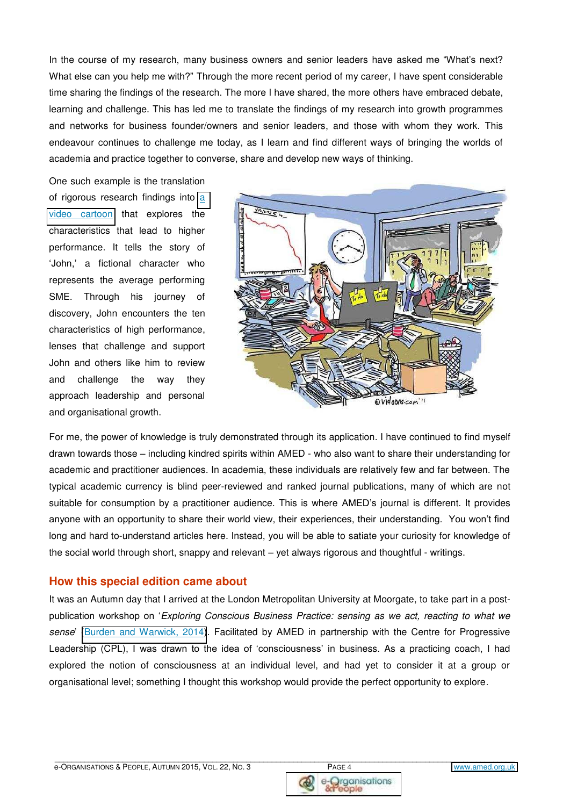In the course of my research, many business owners and senior leaders have asked me "What's next? What else can you help me with?" Through the more recent period of my career, I have spent considerable time sharing the findings of the research. The more I have shared, the more others have embraced debate, learning and challenge. This has led me to translate the findings of my research into growth programmes and networks for business founder/owners and senior leaders, and those with whom they work. This endeavour continues to challenge me today, as I learn and find different ways of bringing the worlds of academia and practice together to converse, share and develop new ways of thinking.

One such example is the translation of rigorous research findings into [a](https://www.youtube.com/watch?v=vsSjsnny8JQ)  [video cartoon](https://www.youtube.com/watch?v=vsSjsnny8JQ) that explores the characteristics that lead to higher performance. It tells the story of 'John,' a fictional character who represents the average performing SME. Through his journey of discovery, John encounters the ten characteristics of high performance, lenses that challenge and support John and others like him to review and challenge the way they approach leadership and personal and organisational growth.



For me, the power of knowledge is truly demonstrated through its application. I have continued to find myself drawn towards those – including kindred spirits within AMED - who also want to share their understanding for academic and practitioner audiences. In academia, these individuals are relatively few and far between. The typical academic currency is blind peer-reviewed and ranked journal publications, many of which are not suitable for consumption by a practitioner audience. This is where AMED's journal is different. It provides anyone with an opportunity to share their world view, their experiences, their understanding. You won't find long and hard to-understand articles here. Instead, you will be able to satiate your curiosity for knowledge of the social world through short, snappy and relevant – yet always rigorous and thoughtful - writings.

#### **How this special edition came about**

It was an Autumn day that I arrived at the London Metropolitan University at Moorgate, to take part in a postpublication workshop on '*Exploring Conscious Business Practice: sensing as we act, reacting to what we sense*' [\(Burden and Warwick, 2014\)](http://api.ning.com/files/6Yi1*KCqJUSYcxXbcgJM8-8WqJ5MTOwKmMMNVzH*I4Y-onm5GcXAe3g2JakMCgiv8kdvR5bkc9aPnTnRvjiQJJOKgzSEfs9j/211P003BurdenWarwick.pdf). Facilitated by AMED in partnership with the Centre for Progressive Leadership (CPL), I was drawn to the idea of 'consciousness' in business. As a practicing coach, I had explored the notion of consciousness at an individual level, and had yet to consider it at a group or organisational level; something I thought this workshop would provide the perfect opportunity to explore.



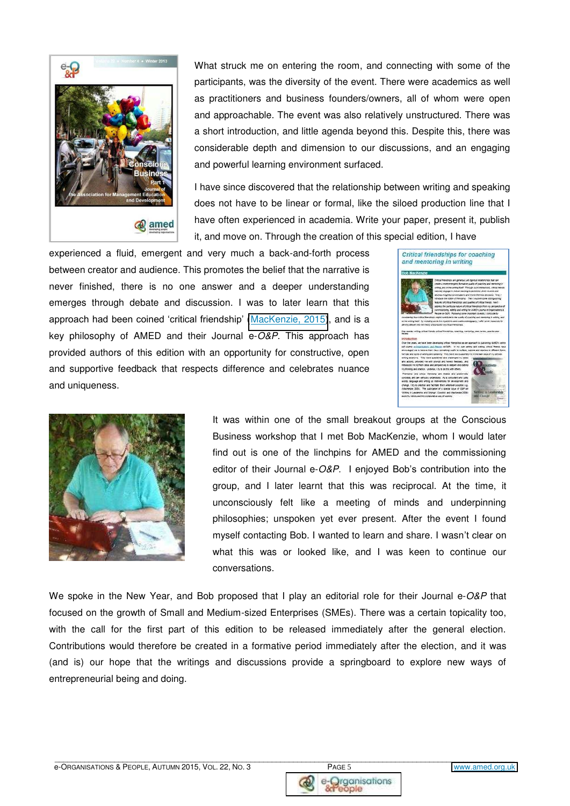

What struck me on entering the room, and connecting with some of the participants, was the diversity of the event. There were academics as well as practitioners and business founders/owners, all of whom were open and approachable. The event was also relatively unstructured. There was a short introduction, and little agenda beyond this. Despite this, there was considerable depth and dimension to our discussions, and an engaging and powerful learning environment surfaced.

I have since discovered that the relationship between writing and speaking does not have to be linear or formal, like the siloed production line that I have often experienced in academia. Write your paper, present it, publish it, and move on. Through the creation of this special edition, I have

experienced a fluid, emergent and very much a back-and-forth process between creator and audience. This promotes the belief that the narrative is never finished, there is no one answer and a deeper understanding emerges through debate and discussion. I was to later learn that this approach had been coined 'critical friendship' ([MacKenzie, 2015\)](http://api.ning.com/files/Z-JJSpQIZ6*YEUejHEJV1V5*PAiExw8ucgD5LkBP9sm2xTLKthBEPIXI8DU17jzSrxWX7NwFbewLLHurCiQk2TC6xDZaAKb-/221P042MacKenzie.pdf), and is a key philosophy of AMED and their Journal e-*O&P*. This approach has provided authors of this edition with an opportunity for constructive, open and supportive feedback that respects difference and celebrates nuance and uniqueness.





It was within one of the small breakout groups at the Conscious Business workshop that I met Bob MacKenzie, whom I would later find out is one of the linchpins for AMED and the commissioning editor of their Journal e-*O&P*. I enjoyed Bob's contribution into the group, and I later learnt that this was reciprocal. At the time, it unconsciously felt like a meeting of minds and underpinning philosophies; unspoken yet ever present. After the event I found myself contacting Bob. I wanted to learn and share. I wasn't clear on what this was or looked like, and I was keen to continue our conversations.

We spoke in the New Year, and Bob proposed that I play an editorial role for their Journal e-*O&P* that focused on the growth of Small and Medium-sized Enterprises (SMEs). There was a certain topicality too, with the call for the first part of this edition to be released immediately after the general election. Contributions would therefore be created in a formative period immediately after the election, and it was (and is) our hope that the writings and discussions provide a springboard to explore new ways of entrepreneurial being and doing.



iole

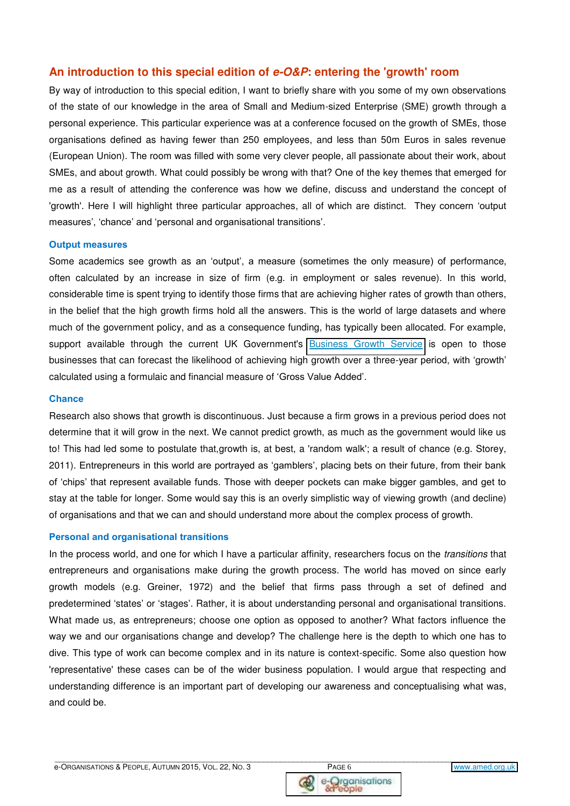#### **An introduction to this special edition of** *e-O&P***: entering the 'growth' room**

By way of introduction to this special edition, I want to briefly share with you some of my own observations of the state of our knowledge in the area of Small and Medium-sized Enterprise (SME) growth through a personal experience. This particular experience was at a conference focused on the growth of SMEs, those organisations defined as having fewer than 250 employees, and less than 50m Euros in sales revenue (European Union). The room was filled with some very clever people, all passionate about their work, about SMEs, and about growth. What could possibly be wrong with that? One of the key themes that emerged for me as a result of attending the conference was how we define, discuss and understand the concept of 'growth'. Here I will highlight three particular approaches, all of which are distinct. They concern 'output measures', 'chance' and 'personal and organisational transitions'.

#### **Output measures**

Some academics see growth as an 'output', a measure (sometimes the only measure) of performance, often calculated by an increase in size of firm (e.g. in employment or sales revenue). In this world, considerable time is spent trying to identify those firms that are achieving higher rates of growth than others, in the belief that the high growth firms hold all the answers. This is the world of large datasets and where much of the government policy, and as a consequence funding, has typically been allocated. For example, support available through the current UK Government's [Business Growth Service](http://www.greatbusiness.gov.uk/businessgrowthservice/) is open to those businesses that can forecast the likelihood of achieving high growth over a three-year period, with 'growth' calculated using a formulaic and financial measure of 'Gross Value Added'.

#### **Chance**

Research also shows that growth is discontinuous. Just because a firm grows in a previous period does not determine that it will grow in the next. We cannot predict growth, as much as the government would like us to! This had led some to postulate that,growth is, at best, a 'random walk'; a result of chance (e.g. Storey, 2011). Entrepreneurs in this world are portrayed as 'gamblers', placing bets on their future, from their bank of 'chips' that represent available funds. Those with deeper pockets can make bigger gambles, and get to stay at the table for longer. Some would say this is an overly simplistic way of viewing growth (and decline) of organisations and that we can and should understand more about the complex process of growth.

#### **Personal and organisational transitions**

In the process world, and one for which I have a particular affinity, researchers focus on the *transitions* that entrepreneurs and organisations make during the growth process. The world has moved on since early growth models (e.g. Greiner, 1972) and the belief that firms pass through a set of defined and predetermined 'states' or 'stages'. Rather, it is about understanding personal and organisational transitions. What made us, as entrepreneurs; choose one option as opposed to another? What factors influence the way we and our organisations change and develop? The challenge here is the depth to which one has to dive. This type of work can become complex and in its nature is context-specific. Some also question how 'representative' these cases can be of the wider business population. I would argue that respecting and understanding difference is an important part of developing our awareness and conceptualising what was, and could be.



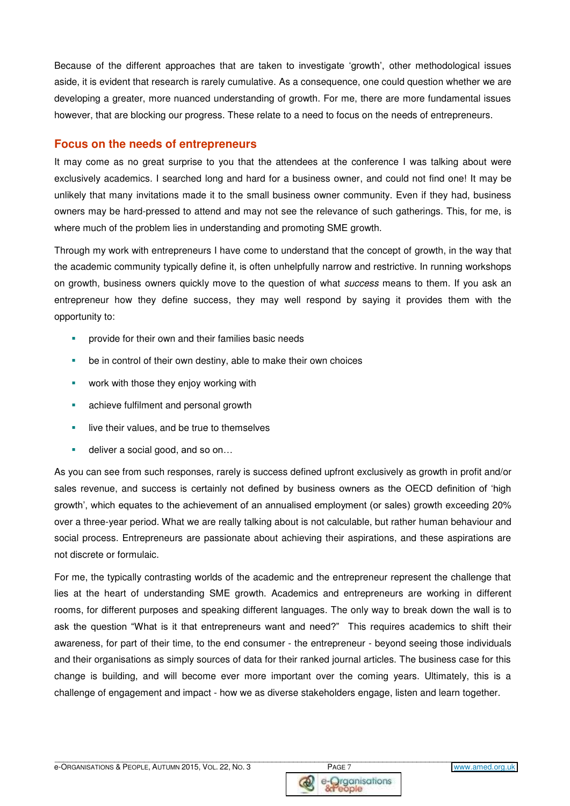Because of the different approaches that are taken to investigate 'growth', other methodological issues aside, it is evident that research is rarely cumulative. As a consequence, one could question whether we are developing a greater, more nuanced understanding of growth. For me, there are more fundamental issues however, that are blocking our progress. These relate to a need to focus on the needs of entrepreneurs.

#### **Focus on the needs of entrepreneurs**

It may come as no great surprise to you that the attendees at the conference I was talking about were exclusively academics. I searched long and hard for a business owner, and could not find one! It may be unlikely that many invitations made it to the small business owner community. Even if they had, business owners may be hard-pressed to attend and may not see the relevance of such gatherings. This, for me, is where much of the problem lies in understanding and promoting SME growth.

Through my work with entrepreneurs I have come to understand that the concept of growth, in the way that the academic community typically define it, is often unhelpfully narrow and restrictive. In running workshops on growth, business owners quickly move to the question of what *success* means to them. If you ask an entrepreneur how they define success, they may well respond by saying it provides them with the opportunity to:

- **•** provide for their own and their families basic needs
- **•** be in control of their own destiny, able to make their own choices
- **work with those they enjoy working with**
- **achieve fulfilment and personal growth**
- **I** live their values, and be true to themselves
- deliver a social good, and so on...

As you can see from such responses, rarely is success defined upfront exclusively as growth in profit and/or sales revenue, and success is certainly not defined by business owners as the OECD definition of 'high growth', which equates to the achievement of an annualised employment (or sales) growth exceeding 20% over a three-year period. What we are really talking about is not calculable, but rather human behaviour and social process. Entrepreneurs are passionate about achieving their aspirations, and these aspirations are not discrete or formulaic.

For me, the typically contrasting worlds of the academic and the entrepreneur represent the challenge that lies at the heart of understanding SME growth. Academics and entrepreneurs are working in different rooms, for different purposes and speaking different languages. The only way to break down the wall is to ask the question "What is it that entrepreneurs want and need?" This requires academics to shift their awareness, for part of their time, to the end consumer - the entrepreneur - beyond seeing those individuals and their organisations as simply sources of data for their ranked journal articles. The business case for this change is building, and will become ever more important over the coming years. Ultimately, this is a challenge of engagement and impact - how we as diverse stakeholders engage, listen and learn together.



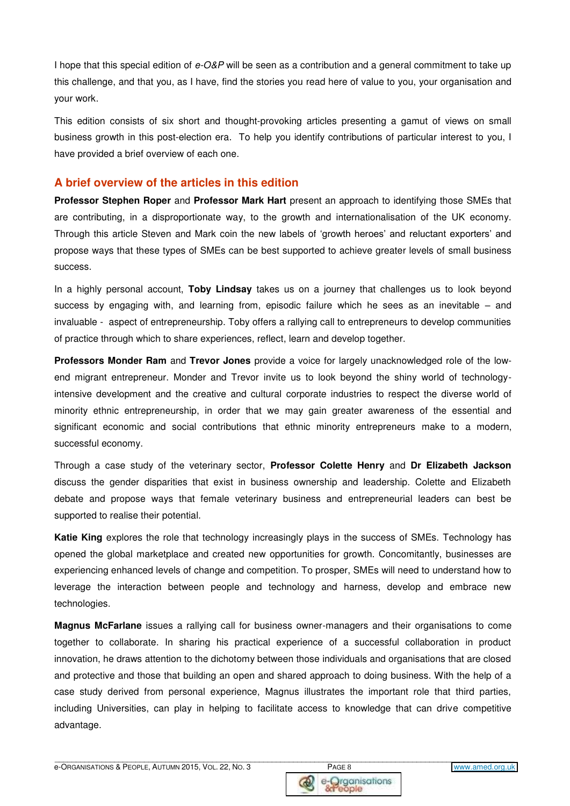I hope that this special edition of *e-O&P* will be seen as a contribution and a general commitment to take up this challenge, and that you, as I have, find the stories you read here of value to you, your organisation and your work.

This edition consists of six short and thought-provoking articles presenting a gamut of views on small business growth in this post-election era. To help you identify contributions of particular interest to you, I have provided a brief overview of each one.

#### **A brief overview of the articles in this edition**

**Professor Stephen Roper** and **Professor Mark Hart** present an approach to identifying those SMEs that are contributing, in a disproportionate way, to the growth and internationalisation of the UK economy. Through this article Steven and Mark coin the new labels of 'growth heroes' and reluctant exporters' and propose ways that these types of SMEs can be best supported to achieve greater levels of small business success.

In a highly personal account, **Toby Lindsay** takes us on a journey that challenges us to look beyond success by engaging with, and learning from, episodic failure which he sees as an inevitable – and invaluable - aspect of entrepreneurship. Toby offers a rallying call to entrepreneurs to develop communities of practice through which to share experiences, reflect, learn and develop together.

**Professors Monder Ram** and **Trevor Jones** provide a voice for largely unacknowledged role of the lowend migrant entrepreneur. Monder and Trevor invite us to look beyond the shiny world of technologyintensive development and the creative and cultural corporate industries to respect the diverse world of minority ethnic entrepreneurship, in order that we may gain greater awareness of the essential and significant economic and social contributions that ethnic minority entrepreneurs make to a modern, successful economy.

Through a case study of the veterinary sector, **Professor Colette Henry** and **Dr Elizabeth Jackson** discuss the gender disparities that exist in business ownership and leadership. Colette and Elizabeth debate and propose ways that female veterinary business and entrepreneurial leaders can best be supported to realise their potential.

**Katie King** explores the role that technology increasingly plays in the success of SMEs. Technology has opened the global marketplace and created new opportunities for growth. Concomitantly, businesses are experiencing enhanced levels of change and competition. To prosper, SMEs will need to understand how to leverage the interaction between people and technology and harness, develop and embrace new technologies.

**Magnus McFarlane** issues a rallying call for business owner-managers and their organisations to come together to collaborate. In sharing his practical experience of a successful collaboration in product innovation, he draws attention to the dichotomy between those individuals and organisations that are closed and protective and those that building an open and shared approach to doing business. With the help of a case study derived from personal experience, Magnus illustrates the important role that third parties, including Universities, can play in helping to facilitate access to knowledge that can drive competitive advantage.



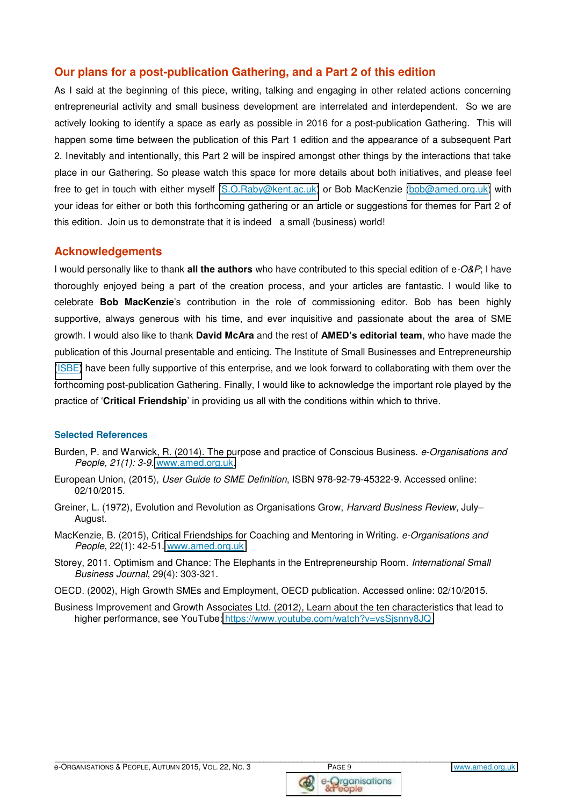#### **Our plans for a post-publication Gathering, and a Part 2 of this edition**

As I said at the beginning of this piece, writing, talking and engaging in other related actions concerning entrepreneurial activity and small business development are interrelated and interdependent. So we are actively looking to identify a space as early as possible in 2016 for a post-publication Gathering. This will happen some time between the publication of this Part 1 edition and the appearance of a subsequent Part 2. Inevitably and intentionally, this Part 2 will be inspired amongst other things by the interactions that take place in our Gathering. So please watch this space for more details about both initiatives, and please feel free to get in touch with either myself [\(S.O.Raby@kent.ac.uk\)](mailto:S.O.Raby@kent.ac.uk) or Bob MacKenzie [\(bob@amed.org.uk\)](mailto:bob@amed.org.uk) with your ideas for either or both this forthcoming gathering or an article or suggestions for themes for Part 2 of this edition. Join us to demonstrate that it is indeed a small (business) world!

#### **Acknowledgements**

I would personally like to thank **all the authors** who have contributed to this special edition of e*-O&P*; I have thoroughly enjoyed being a part of the creation process, and your articles are fantastic. I would like to celebrate **Bob MacKenzie**'s contribution in the role of commissioning editor. Bob has been highly supportive, always generous with his time, and ever inquisitive and passionate about the area of SME growth. I would also like to thank **David McAra** and the rest of **AMED's editorial team**, who have made the publication of this Journal presentable and enticing. The Institute of Small Businesses and Entrepreneurship [\(ISBE](http://www.isbe.org.uk/)**)** have been fully supportive of this enterprise, and we look forward to collaborating with them over the forthcoming post-publication Gathering. Finally, I would like to acknowledge the important role played by the practice of '**Critical Friendship**' in providing us all with the conditions within which to thrive.

#### **Selected References**

- Burden, P. and Warwick, R. (2014). The purpose and practice of Conscious Business. *e-Organisations and People, 21(1): 3-9.* [www.amed.org.uk.](http://www.amed.org.uk/)
- European Union, (2015), *User Guide to SME Definition*, ISBN 978-92-79-45322-9. Accessed online: 02/10/2015.
- Greiner, L. (1972), Evolution and Revolution as Organisations Grow, *Harvard Business Review*, July– August.
- MacKenzie, B. (2015), Critical Friendships for Coaching and Mentoring in Writing. *e-Organisations and People*, 22(1): 42-51. [www.amed.org.uk](http://www.amed.org.uk/)
- Storey, 2011. Optimism and Chance: The Elephants in the Entrepreneurship Room. *International Small Business Journal*, 29(4): 303-321.
- OECD. (2002), High Growth SMEs and Employment, OECD publication. Accessed online: 02/10/2015.
- Business Improvement and Growth Associates Ltd. (2012), Learn about the ten characteristics that lead to higher performance, see YouTube:<https://www.youtube.com/watch?v=vsSjsnny8JQ>



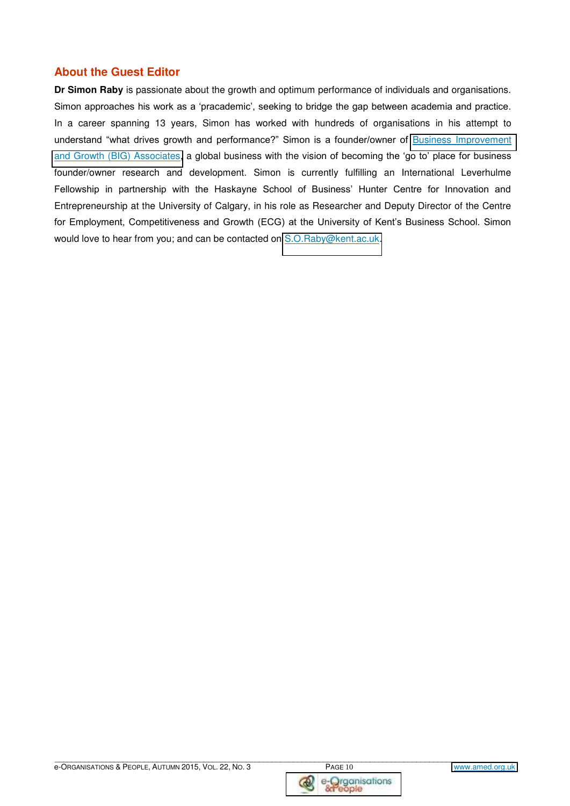#### **About the Guest Editor**

**Dr Simon Raby** is passionate about the growth and optimum performance of individuals and organisations. Simon approaches his work as a 'pracademic', seeking to bridge the gap between academia and practice. In a career spanning 13 years, Simon has worked with hundreds of organisations in his attempt to understand "what drives growth and performance?" Simon is a founder/owner of [Business Improvement](http://www.kent.ac.uk/kbs/business/sme)  [and Growth \(BIG\) Associates,](http://www.kent.ac.uk/kbs/business/sme) a global business with the vision of becoming the 'go to' place for business founder/owner research and development. Simon is currently fulfilling an International Leverhulme Fellowship in partnership with the Haskayne School of Business' Hunter Centre for Innovation and Entrepreneurship at the University of Calgary, in his role as Researcher and Deputy Director of the Centre for Employment, Competitiveness and Growth (ECG) at the University of Kent's Business School. Simon would love to hear from you; and can be contacted on [S.O.Raby@kent.ac.uk.](mailto:S.O.Raby@kent.ac.uk)